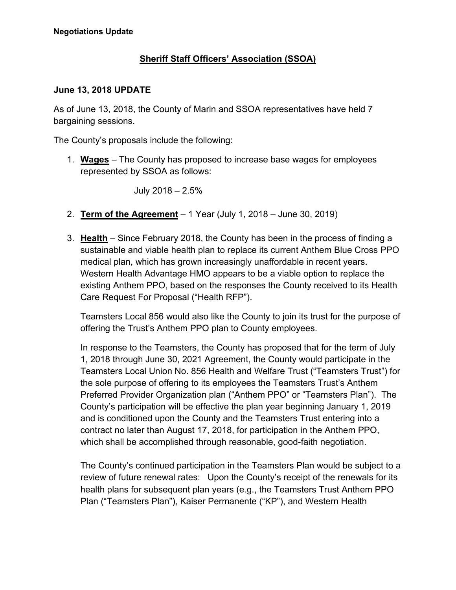## **Sheriff Staff Officers' Association (SSOA)**

## **June 13, 2018 UPDATE**

As of June 13, 2018, the County of Marin and SSOA representatives have held 7 bargaining sessions.

The County's proposals include the following:

1. **Wages** – The County has proposed to increase base wages for employees represented by SSOA as follows:

July 2018 – 2.5%

- 2. **Term of the Agreement** 1 Year (July 1, 2018 June 30, 2019)
- 3. **Health** Since February 2018, the County has been in the process of finding a sustainable and viable health plan to replace its current Anthem Blue Cross PPO medical plan, which has grown increasingly unaffordable in recent years. Western Health Advantage HMO appears to be a viable option to replace the existing Anthem PPO, based on the responses the County received to its Health Care Request For Proposal ("Health RFP").

Teamsters Local 856 would also like the County to join its trust for the purpose of offering the Trust's Anthem PPO plan to County employees.

In response to the Teamsters, the County has proposed that for the term of July 1, 2018 through June 30, 2021 Agreement, the County would participate in the Teamsters Local Union No. 856 Health and Welfare Trust ("Teamsters Trust") for the sole purpose of offering to its employees the Teamsters Trust's Anthem Preferred Provider Organization plan ("Anthem PPO" or "Teamsters Plan"). The County's participation will be effective the plan year beginning January 1, 2019 and is conditioned upon the County and the Teamsters Trust entering into a contract no later than August 17, 2018, for participation in the Anthem PPO, which shall be accomplished through reasonable, good-faith negotiation.

The County's continued participation in the Teamsters Plan would be subject to a review of future renewal rates: Upon the County's receipt of the renewals for its health plans for subsequent plan years (e.g., the Teamsters Trust Anthem PPO Plan ("Teamsters Plan"), Kaiser Permanente ("KP"), and Western Health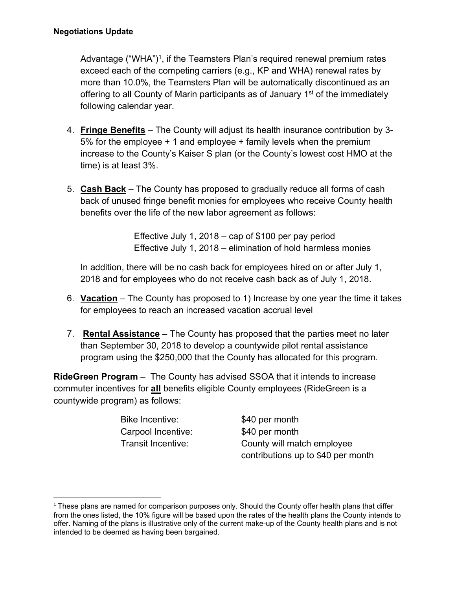Advantage ("WHA")<sup>1</sup>, if the Teamsters Plan's required renewal premium rates exceed each of the competing carriers (e.g., KP and WHA) renewal rates by more than 10.0%, the Teamsters Plan will be automatically discontinued as an offering to all County of Marin participants as of January 1<sup>st</sup> of the immediately following calendar year.

- 4. **Fringe Benefits** The County will adjust its health insurance contribution by 3- 5% for the employee + 1 and employee + family levels when the premium increase to the County's Kaiser S plan (or the County's lowest cost HMO at the time) is at least 3%.
- 5. **Cash Back** The County has proposed to gradually reduce all forms of cash back of unused fringe benefit monies for employees who receive County health benefits over the life of the new labor agreement as follows:

Effective July 1, 2018 – cap of \$100 per pay period Effective July 1, 2018 – elimination of hold harmless monies

In addition, there will be no cash back for employees hired on or after July 1, 2018 and for employees who do not receive cash back as of July 1, 2018.

- 6. **Vacation** The County has proposed to 1) Increase by one year the time it takes for employees to reach an increased vacation accrual level
- 7. **Rental Assistance** The County has proposed that the parties meet no later than September 30, 2018 to develop a countywide pilot rental assistance program using the \$250,000 that the County has allocated for this program.

**RideGreen Program** – The County has advised SSOA that it intends to increase commuter incentives for **all** benefits eligible County employees (RideGreen is a countywide program) as follows:

> Bike Incentive: \$40 per month Carpool Incentive: \$40 per month

Transit Incentive: County will match employee contributions up to \$40 per month

 $1$  These plans are named for comparison purposes only. Should the County offer health plans that differ from the ones listed, the 10% figure will be based upon the rates of the health plans the County intends to offer. Naming of the plans is illustrative only of the current make-up of the County health plans and is not intended to be deemed as having been bargained.